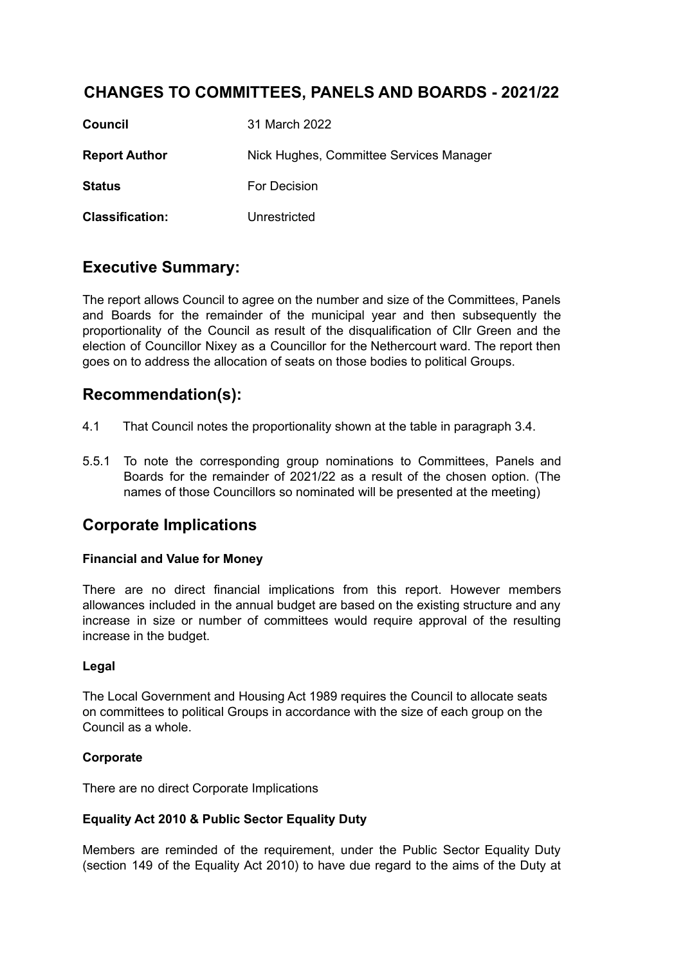# **CHANGES TO COMMITTEES, PANELS AND BOARDS - 2021/22**

| <b>Council</b>         | 31 March 2022                           |
|------------------------|-----------------------------------------|
| <b>Report Author</b>   | Nick Hughes, Committee Services Manager |
| <b>Status</b>          | For Decision                            |
| <b>Classification:</b> | Unrestricted                            |

# **Executive Summary:**

The report allows Council to agree on the number and size of the Committees, Panels and Boards for the remainder of the municipal year and then subsequently the proportionality of the Council as result of the disqualification of Cllr Green and the election of Councillor Nixey as a Councillor for the Nethercourt ward. The report then goes on to address the allocation of seats on those bodies to political Groups.

# **Recommendation(s):**

- 4.1 That Council notes the proportionality shown at the table in paragraph 3.4.
- 5.5.1 To note the corresponding group nominations to Committees, Panels and Boards for the remainder of 2021/22 as a result of the chosen option. (The names of those Councillors so nominated will be presented at the meeting)

# **Corporate Implications**

### **Financial and Value for Money**

There are no direct financial implications from this report. However members allowances included in the annual budget are based on the existing structure and any increase in size or number of committees would require approval of the resulting increase in the budget.

### **Legal**

The Local Government and Housing Act 1989 requires the Council to allocate seats on committees to political Groups in accordance with the size of each group on the Council as a whole.

### **Corporate**

There are no direct Corporate Implications

### **Equality Act 2010 & Public Sector Equality Duty**

Members are reminded of the requirement, under the Public Sector Equality Duty (section 149 of the Equality Act 2010) to have due regard to the aims of the Duty at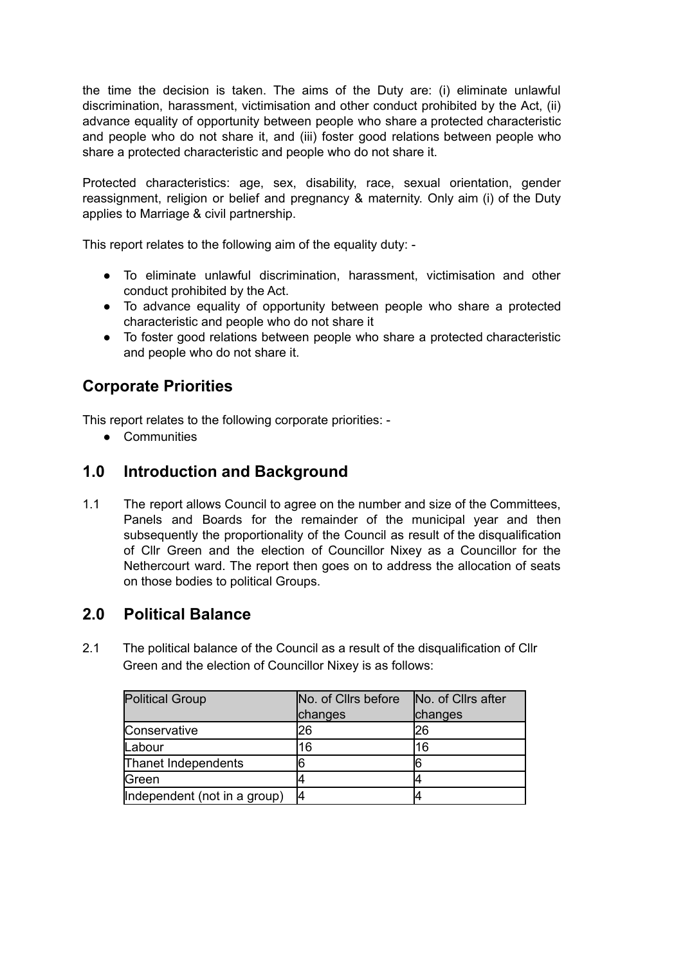the time the decision is taken. The aims of the Duty are: (i) eliminate unlawful discrimination, harassment, victimisation and other conduct prohibited by the Act, (ii) advance equality of opportunity between people who share a protected characteristic and people who do not share it, and (iii) foster good relations between people who share a protected characteristic and people who do not share it.

Protected characteristics: age, sex, disability, race, sexual orientation, gender reassignment, religion or belief and pregnancy & maternity. Only aim (i) of the Duty applies to Marriage & civil partnership.

This report relates to the following aim of the equality duty: -

- To eliminate unlawful discrimination, harassment, victimisation and other conduct prohibited by the Act.
- To advance equality of opportunity between people who share a protected characteristic and people who do not share it
- To foster good relations between people who share a protected characteristic and people who do not share it.

# **Corporate Priorities**

This report relates to the following corporate priorities: -

● Communities

# **1.0 Introduction and Background**

1.1 The report allows Council to agree on the number and size of the Committees, Panels and Boards for the remainder of the municipal year and then subsequently the proportionality of the Council as result of the disqualification of Cllr Green and the election of Councillor Nixey as a Councillor for the Nethercourt ward. The report then goes on to address the allocation of seats on those bodies to political Groups.

# **2.0 Political Balance**

2.1 The political balance of the Council as a result of the disqualification of Cllr Green and the election of Councillor Nixey is as follows:

| <b>Political Group</b>       | No. of Cllrs before | No. of Cllrs after |  |
|------------------------------|---------------------|--------------------|--|
|                              | changes             | changes            |  |
| Conservative                 | 26                  | 126                |  |
| Labour                       | 16                  | 16                 |  |
| Thanet Independents          |                     |                    |  |
| Green                        |                     |                    |  |
| Independent (not in a group) |                     |                    |  |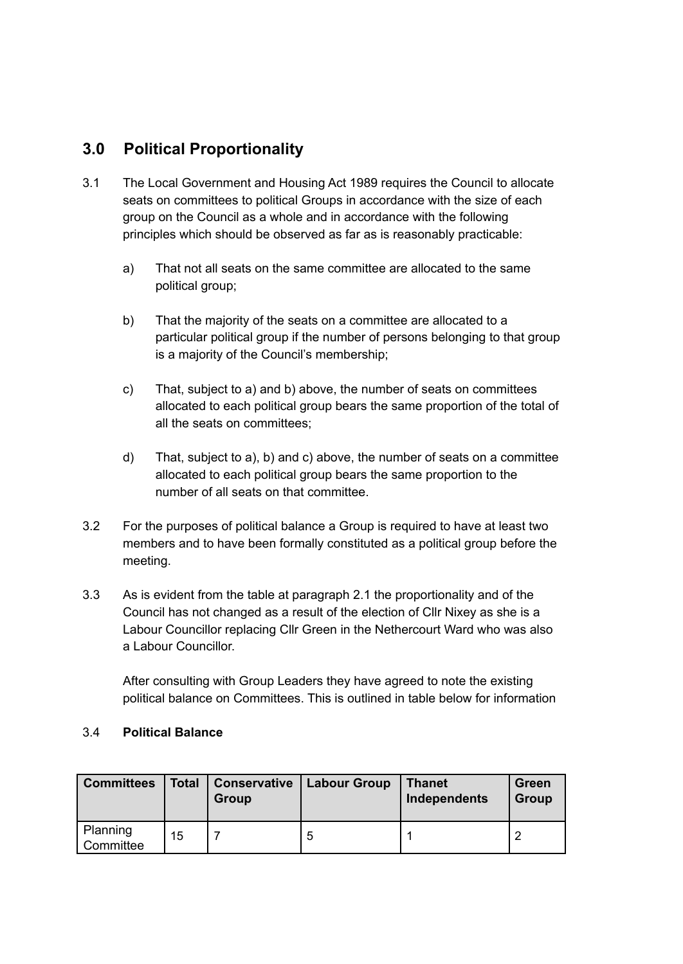# **3.0 Political Proportionality**

- 3.1 The Local Government and Housing Act 1989 requires the Council to allocate seats on committees to political Groups in accordance with the size of each group on the Council as a whole and in accordance with the following principles which should be observed as far as is reasonably practicable:
	- a) That not all seats on the same committee are allocated to the same political group;
	- b) That the majority of the seats on a committee are allocated to a particular political group if the number of persons belonging to that group is a majority of the Council's membership;
	- c) That, subject to a) and b) above, the number of seats on committees allocated to each political group bears the same proportion of the total of all the seats on committees;
	- d) That, subject to a), b) and c) above, the number of seats on a committee allocated to each political group bears the same proportion to the number of all seats on that committee.
- 3.2 For the purposes of political balance a Group is required to have at least two members and to have been formally constituted as a political group before the meeting.
- 3.3 As is evident from the table at paragraph 2.1 the proportionality and of the Council has not changed as a result of the election of Cllr Nixey as she is a Labour Councillor replacing Cllr Green in the Nethercourt Ward who was also a Labour Councillor.

After consulting with Group Leaders they have agreed to note the existing political balance on Committees. This is outlined in table below for information

### 3.4 **Political Balance**

| <b>Committees</b>     | <b>Total</b> | <b>Conservative</b><br>Group | <b>Labour Group</b> | <b>Thanet</b><br>Independents | Green<br>Group |
|-----------------------|--------------|------------------------------|---------------------|-------------------------------|----------------|
| Planning<br>Committee | 15           |                              | b                   |                               |                |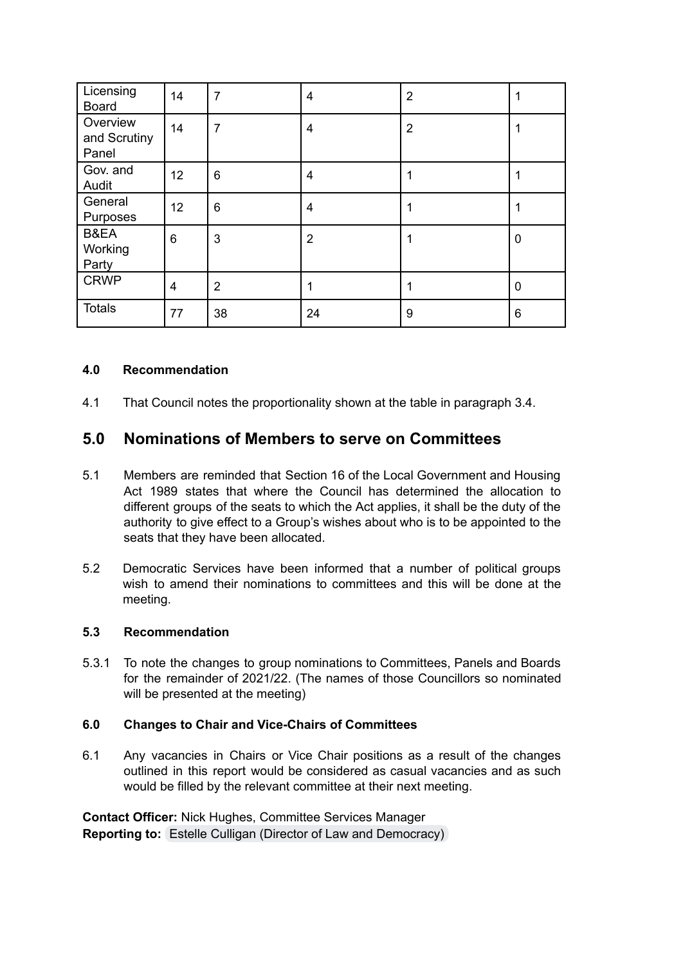| Licensing<br><b>Board</b>         | 14             | $\overline{7}$ | 4              | $\overline{2}$ |             |
|-----------------------------------|----------------|----------------|----------------|----------------|-------------|
| Overview<br>and Scrutiny<br>Panel | 14             | $\overline{7}$ | 4              | $\overline{2}$ |             |
| Gov. and<br>Audit                 | 12             | 6              | 4              |                |             |
| General<br>Purposes               | 12             | 6              | 4              |                |             |
| B&EA<br>Working<br>Party          | 6              | 3              | $\overline{2}$ |                | $\mathbf 0$ |
| <b>CRWP</b>                       | $\overline{4}$ | $\overline{2}$ | 1              |                | $\mathbf 0$ |
| <b>Totals</b>                     | 77             | 38             | 24             | 9              | 6           |

#### **4.0 Recommendation**

4.1 That Council notes the proportionality shown at the table in paragraph 3.4.

## **5.0 Nominations of Members to serve on Committees**

- 5.1 Members are reminded that Section 16 of the Local Government and Housing Act 1989 states that where the Council has determined the allocation to different groups of the seats to which the Act applies, it shall be the duty of the authority to give effect to a Group's wishes about who is to be appointed to the seats that they have been allocated.
- 5.2 Democratic Services have been informed that a number of political groups wish to amend their nominations to committees and this will be done at the meeting.

#### **5.3 Recommendation**

5.3.1 To note the changes to group nominations to Committees, Panels and Boards for the remainder of 2021/22. (The names of those Councillors so nominated will be presented at the meeting)

#### **6.0 Changes to Chair and Vice-Chairs of Committees**

6.1 Any vacancies in Chairs or Vice Chair positions as a result of the changes outlined in this report would be considered as casual vacancies and as such would be filled by the relevant committee at their next meeting.

**Contact Officer:** Nick Hughes, Committee Services Manager **Reporting to:** Estelle Culligan (Director of Law and [Democracy\)](mailto:estelle.culligan@thanet.gov.uk)